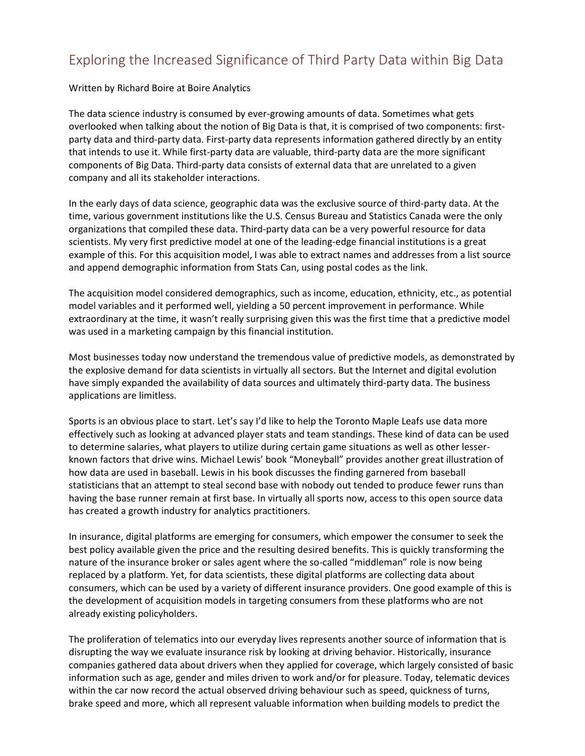## Exploring the Increased Significance of Third Party Data within Big Data

## Written by Richard Boire at Boire Analytics

The data science industry is consumed by ever-growing amounts of data. Sometimes what gets overlooked when talking about the notion of Big Data is that, it is comprised of two components: firstparty data and third-party data. First-party data represents information gathered directly by an entity that intends to use it. While first-party data are valuable, third-party data are the more significant components of Big Data. Third-party data consists of external data that are unrelated to a given company and all its stakeholder interactions.

In the early days of data science, geographic data was the exclusive source of third-party data. At the time, various government institutions like the U.S. Census Bureau and Statistics Canada were the only organizations that compiled these data. Third-party data can be a very powerful resource for data scientists. My very first predictive model at one of the leading-edge financial institutions is a great example of this. For this acquisition model, I was able to extract names and addresses from a list source and append demographic information from Stats Can, using postal codes as the link.

The acquisition model considered demographics, such as income, education, ethnicity, etc., as potential model variables and it performed well, yielding a 50 percent improvement in performance. While extraordinary at the time, it wasn't really surprising given this was the first time that a predictive model was used in a marketing campaign by this financial institution.

Most businesses today now understand the tremendous value of predictive models, as demonstrated by the explosive demand for data scientists in virtually all sectors. But the Internet and digital evolution have simply expanded the availability of data sources and ultimately third-party data. The business applications are limitless.

Sports is an obvious place to start. Let's say I'd like to help the Toronto Maple Leafs use data more effectively such as looking at advanced player stats and team standings. These kind of data can be used to determine salaries, what players to utilize during certain game situations as well as other lesserknown factors that drive wins. Michael Lewis' book "Moneyball" provides another great illustration of how data are used in baseball. Lewis in his book discusses the finding garnered from baseball statisticians that an attempt to steal second base with nobody out tended to produce fewer runs than having the base runner remain at first base. In virtually all sports now, access to this open source data has created a growth industry for analytics practitioners.

In insurance, digital platforms are emerging for consumers, which empower the consumer to seek the best policy available given the price and the resulting desired benefits. This is quickly transforming the nature of the insurance broker or sales agent where the so-called "middleman" role is now being replaced by a platform. Yet, for data scientists, these digital platforms are collecting data about consumers, which can be used by a variety of different insurance providers. One good example of this is the development of acquisition models in targeting consumers from these platforms who are not already existing policyholders.

The proliferation of telematics into our everyday lives represents another source of information that is disrupting the way we evaluate insurance risk by looking at driving behavior. Historically, insurance companies gathered data about drivers when they applied for coverage, which largely consisted of basic information such as age, gender and miles driven to work and/or for pleasure. Today, telematic devices within the car now record the actual observed driving behaviour such as speed, quickness of turns, brake speed and more, which all represent valuable information when building models to predict the